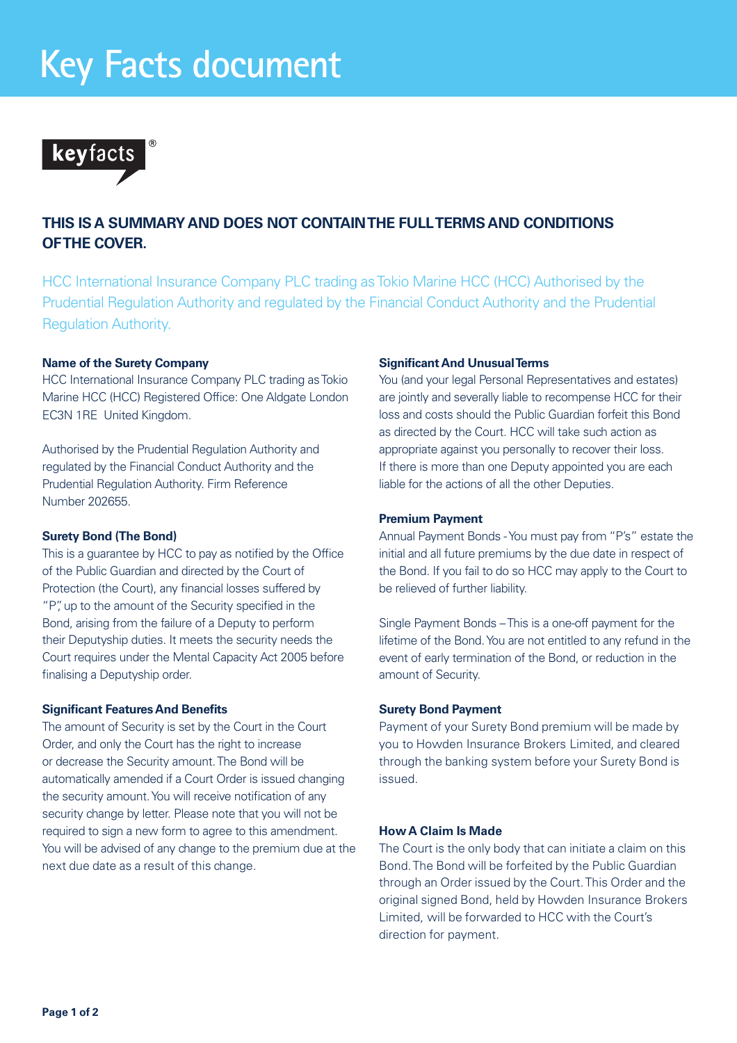# **Key Facts document**



# **THIS IS A SUMMARY AND DOES NOT CONTAIN THE FULL TERMS AND CONDITIONS OF THE COVER.**

HCC International Insurance Company PLC trading as Tokio Marine HCC (HCC) Authorised by the Prudential Regulation Authority and regulated by the Financial Conduct Authority and the Prudential Regulation Authority.

# **Name of the Surety Company**

HCC International Insurance Company PLC trading as Tokio Marine HCC (HCC) Registered Office: One Aldgate London EC3N 1RE United Kingdom.

Authorised by the Prudential Regulation Authority and regulated by the Financial Conduct Authority and the Prudential Regulation Authority. Firm Reference Number 202655.

# **Surety Bond (The Bond)**

This is a guarantee by HCC to pay as notified by the Office of the Public Guardian and directed by the Court of Protection (the Court), any financial losses suffered by "P", up to the amount of the Security specified in the Bond, arising from the failure of a Deputy to perform their Deputyship duties. It meets the security needs the Court requires under the Mental Capacity Act 2005 before finalising a Deputyship order.

# **Significant Features And Benefits**

The amount of Security is set by the Court in the Court Order, and only the Court has the right to increase or decrease the Security amount. The Bond will be automatically amended if a Court Order is issued changing the security amount. You will receive notification of any security change by letter. Please note that you will not be required to sign a new form to agree to this amendment. You will be advised of any change to the premium due at the next due date as a result of this change.

### **Significant And Unusual Terms**

You (and your legal Personal Representatives and estates) are jointly and severally liable to recompense HCC for their loss and costs should the Public Guardian forfeit this Bond as directed by the Court. HCC will take such action as appropriate against you personally to recover their loss. If there is more than one Deputy appointed you are each liable for the actions of all the other Deputies.

# **Premium Payment**

Annual Payment Bonds - You must pay from "P's" estate the initial and all future premiums by the due date in respect of the Bond. If you fail to do so HCC may apply to the Court to be relieved of further liability.

Single Payment Bonds – This is a one-off payment for the lifetime of the Bond. You are not entitled to any refund in the event of early termination of the Bond, or reduction in the amount of Security.

#### **Surety Bond Payment**

Payment of your Surety Bond premium will be made by you to Howden Insurance Brokers Limited, and cleared through the banking system before your Surety Bond is issued.

# **How A Claim Is Made**

The Court is the only body that can initiate a claim on this Bond. The Bond will be forfeited by the Public Guardian through an Order issued by the Court. This Order and the original signed Bond, held by Howden Insurance Brokers Limited, will be forwarded to HCC with the Court's direction for payment.